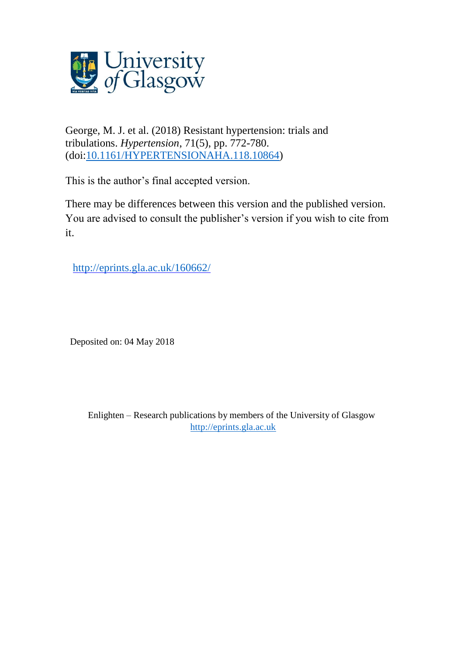

George, M. J. et al. (2018) Resistant hypertension: trials and tribulations. *Hypertension*, 71(5), pp. 772-780. (doi[:10.1161/HYPERTENSIONAHA.118.10864\)](http://dx.doi.org/10.1161/HYPERTENSIONAHA.118.10864)

This is the author's final accepted version.

There may be differences between this version and the published version. You are advised to consult the publisher's version if you wish to cite from it.

<http://eprints.gla.ac.uk/160662/>

Deposited on: 04 May 2018

Enlighten – Research publications by members of the University of Glasgow [http://eprints.gla.ac.uk](http://eprints.gla.ac.uk/)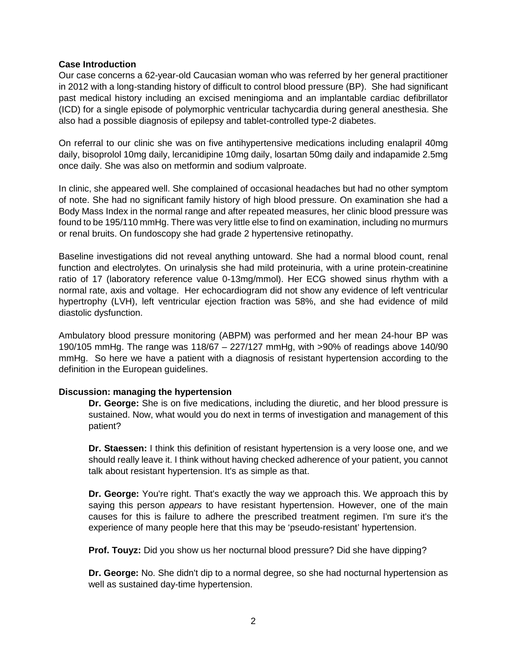#### **Case Introduction**

Our case concerns a 62-year-old Caucasian woman who was referred by her general practitioner in 2012 with a long-standing history of difficult to control blood pressure (BP). She had significant past medical history including an excised meningioma and an implantable cardiac defibrillator (ICD) for a single episode of polymorphic ventricular tachycardia during general anesthesia. She also had a possible diagnosis of epilepsy and tablet-controlled type-2 diabetes.

On referral to our clinic she was on five antihypertensive medications including enalapril 40mg daily, bisoprolol 10mg daily, lercanidipine 10mg daily, losartan 50mg daily and indapamide 2.5mg once daily. She was also on metformin and sodium valproate.

In clinic, she appeared well. She complained of occasional headaches but had no other symptom of note. She had no significant family history of high blood pressure. On examination she had a Body Mass Index in the normal range and after repeated measures, her clinic blood pressure was found to be 195/110 mmHg. There was very little else to find on examination, including no murmurs or renal bruits. On fundoscopy she had grade 2 hypertensive retinopathy.

Baseline investigations did not reveal anything untoward. She had a normal blood count, renal function and electrolytes. On urinalysis she had mild proteinuria, with a urine protein-creatinine ratio of 17 (laboratory reference value 0-13mg/mmol). Her ECG showed sinus rhythm with a normal rate, axis and voltage. Her echocardiogram did not show any evidence of left ventricular hypertrophy (LVH), left ventricular ejection fraction was 58%, and she had evidence of mild diastolic dysfunction.

Ambulatory blood pressure monitoring (ABPM) was performed and her mean 24-hour BP was 190/105 mmHg. The range was 118/67 – 227/127 mmHg, with >90% of readings above 140/90 mmHg. So here we have a patient with a diagnosis of resistant hypertension according to the definition in the European guidelines.

#### **Discussion: managing the hypertension**

**Dr. George:** She is on five medications, including the diuretic, and her blood pressure is sustained. Now, what would you do next in terms of investigation and management of this patient?

**Dr. Staessen:** I think this definition of resistant hypertension is a very loose one, and we should really leave it. I think without having checked adherence of your patient, you cannot talk about resistant hypertension. It's as simple as that.

**Dr. George:** You're right. That's exactly the way we approach this. We approach this by saying this person *appears* to have resistant hypertension. However, one of the main causes for this is failure to adhere the prescribed treatment regimen. I'm sure it's the experience of many people here that this may be 'pseudo-resistant' hypertension.

**Prof. Touyz:** Did you show us her nocturnal blood pressure? Did she have dipping?

**Dr. George:** No. She didn't dip to a normal degree, so she had nocturnal hypertension as well as sustained day-time hypertension.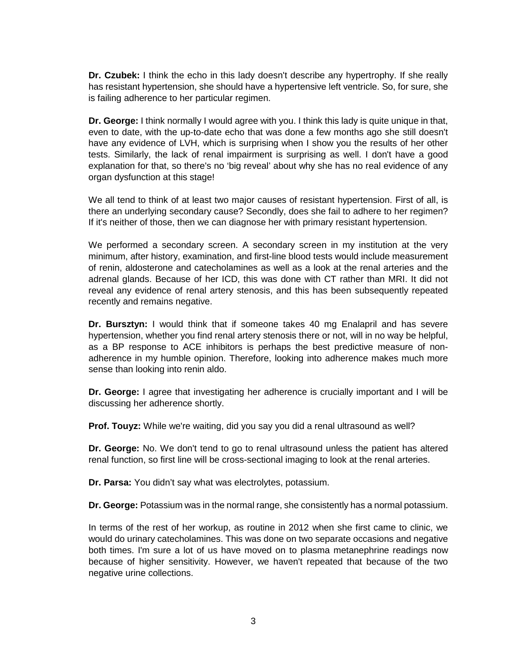**Dr. Czubek:** I think the echo in this lady doesn't describe any hypertrophy. If she really has resistant hypertension, she should have a hypertensive left ventricle. So, for sure, she is failing adherence to her particular regimen.

**Dr. George:** I think normally I would agree with you. I think this lady is quite unique in that, even to date, with the up-to-date echo that was done a few months ago she still doesn't have any evidence of LVH, which is surprising when I show you the results of her other tests. Similarly, the lack of renal impairment is surprising as well. I don't have a good explanation for that, so there's no 'big reveal' about why she has no real evidence of any organ dysfunction at this stage!

We all tend to think of at least two major causes of resistant hypertension. First of all, is there an underlying secondary cause? Secondly, does she fail to adhere to her regimen? If it's neither of those, then we can diagnose her with primary resistant hypertension.

We performed a secondary screen. A secondary screen in my institution at the very minimum, after history, examination, and first-line blood tests would include measurement of renin, aldosterone and catecholamines as well as a look at the renal arteries and the adrenal glands. Because of her ICD, this was done with CT rather than MRI. It did not reveal any evidence of renal artery stenosis, and this has been subsequently repeated recently and remains negative.

**Dr. Bursztyn:** I would think that if someone takes 40 mg Enalapril and has severe hypertension, whether you find renal artery stenosis there or not, will in no way be helpful, as a BP response to ACE inhibitors is perhaps the best predictive measure of nonadherence in my humble opinion. Therefore, looking into adherence makes much more sense than looking into renin aldo.

**Dr. George:** I agree that investigating her adherence is crucially important and I will be discussing her adherence shortly.

**Prof. Touyz:** While we're waiting, did you say you did a renal ultrasound as well?

**Dr. George:** No. We don't tend to go to renal ultrasound unless the patient has altered renal function, so first line will be cross-sectional imaging to look at the renal arteries.

**Dr. Parsa:** You didn't say what was electrolytes, potassium.

**Dr. George:** Potassium was in the normal range, she consistently has a normal potassium.

In terms of the rest of her workup, as routine in 2012 when she first came to clinic, we would do urinary catecholamines. This was done on two separate occasions and negative both times. I'm sure a lot of us have moved on to plasma metanephrine readings now because of higher sensitivity. However, we haven't repeated that because of the two negative urine collections.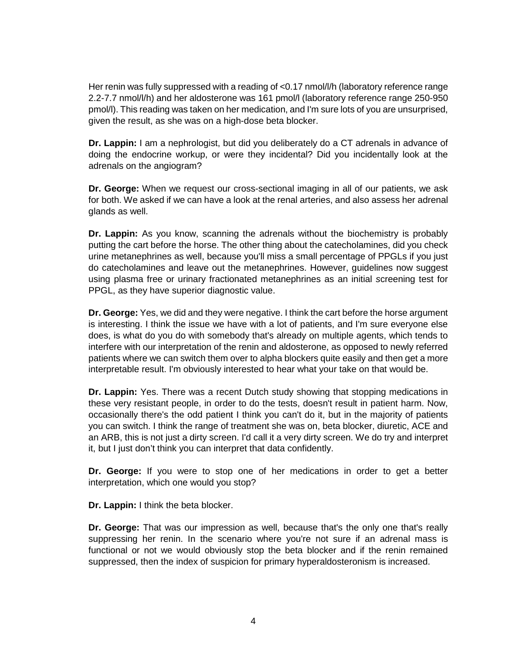Her renin was fully suppressed with a reading of <0.17 nmol/l/h (laboratory reference range 2.2-7.7 nmol/l/h) and her aldosterone was 161 pmol/l (laboratory reference range 250-950 pmol/l). This reading was taken on her medication, and I'm sure lots of you are unsurprised, given the result, as she was on a high-dose beta blocker.

**Dr. Lappin:** I am a nephrologist, but did you deliberately do a CT adrenals in advance of doing the endocrine workup, or were they incidental? Did you incidentally look at the adrenals on the angiogram?

**Dr. George:** When we request our cross-sectional imaging in all of our patients, we ask for both. We asked if we can have a look at the renal arteries, and also assess her adrenal glands as well.

**Dr. Lappin:** As you know, scanning the adrenals without the biochemistry is probably putting the cart before the horse. The other thing about the catecholamines, did you check urine metanephrines as well, because you'll miss a small percentage of PPGLs if you just do catecholamines and leave out the metanephrines. However, guidelines now suggest using plasma free or urinary fractionated metanephrines as an initial *s*creening test for PPGL, as they have superior diagnostic value.

**Dr. George:** Yes, we did and they were negative. I think the cart before the horse argument is interesting. I think the issue we have with a lot of patients, and I'm sure everyone else does, is what do you do with somebody that's already on multiple agents, which tends to interfere with our interpretation of the renin and aldosterone, as opposed to newly referred patients where we can switch them over to alpha blockers quite easily and then get a more interpretable result. I'm obviously interested to hear what your take on that would be.

**Dr. Lappin:** Yes. There was a recent Dutch study showing that stopping medications in these very resistant people, in order to do the tests, doesn't result in patient harm. Now, occasionally there's the odd patient I think you can't do it, but in the majority of patients you can switch. I think the range of treatment she was on, beta blocker, diuretic, ACE and an ARB, this is not just a dirty screen. I'd call it a very dirty screen. We do try and interpret it, but I just don't think you can interpret that data confidently.

**Dr. George:** If you were to stop one of her medications in order to get a better interpretation, which one would you stop?

**Dr. Lappin:** I think the beta blocker.

**Dr. George:** That was our impression as well, because that's the only one that's really suppressing her renin. In the scenario where you're not sure if an adrenal mass is functional or not we would obviously stop the beta blocker and if the renin remained suppressed, then the index of suspicion for primary hyperaldosteronism is increased.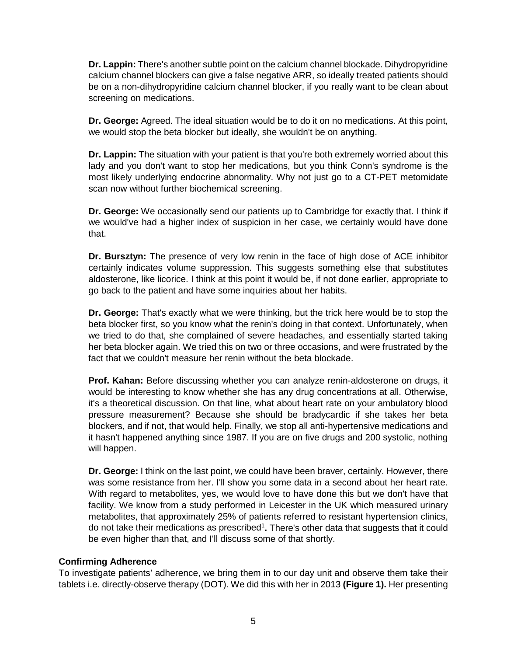**Dr. Lappin:** There's another subtle point on the calcium channel blockade. Dihydropyridine calcium channel blockers can give a false negative ARR, so ideally treated patients should be on a non-dihydropyridine calcium channel blocker, if you really want to be clean about screening on medications.

**Dr. George:** Agreed. The ideal situation would be to do it on no medications. At this point, we would stop the beta blocker but ideally, she wouldn't be on anything.

**Dr. Lappin:** The situation with your patient is that you're both extremely worried about this lady and you don't want to stop her medications, but you think Conn's syndrome is the most likely underlying endocrine abnormality. Why not just go to a CT-PET metomidate scan now without further biochemical screening.

**Dr. George:** We occasionally send our patients up to Cambridge for exactly that. I think if we would've had a higher index of suspicion in her case, we certainly would have done that.

**Dr. Bursztyn:** The presence of very low renin in the face of high dose of ACE inhibitor certainly indicates volume suppression. This suggests something else that substitutes aldosterone, like licorice. I think at this point it would be, if not done earlier, appropriate to go back to the patient and have some inquiries about her habits.

**Dr. George:** That's exactly what we were thinking, but the trick here would be to stop the beta blocker first, so you know what the renin's doing in that context. Unfortunately, when we tried to do that, she complained of severe headaches, and essentially started taking her beta blocker again. We tried this on two or three occasions, and were frustrated by the fact that we couldn't measure her renin without the beta blockade.

**Prof. Kahan:** Before discussing whether you can analyze renin-aldosterone on drugs, it would be interesting to know whether she has any drug concentrations at all. Otherwise, it's a theoretical discussion. On that line, what about heart rate on your ambulatory blood pressure measurement? Because she should be bradycardic if she takes her beta blockers, and if not, that would help. Finally, we stop all anti-hypertensive medications and it hasn't happened anything since 1987. If you are on five drugs and 200 systolic, nothing will happen.

**Dr. George:** I think on the last point, we could have been braver, certainly. However, there was some resistance from her. I'll show you some data in a second about her heart rate. With regard to metabolites, yes, we would love to have done this but we don't have that facility. We know from a study performed in Leicester in the UK which measured urinary metabolites, that approximately 25% of patients referred to resistant hypertension clinics, do not take their medications as prescribed<sup>1</sup>. There's other data that suggests that it could be even higher than that, and I'll discuss some of that shortly.

## **Confirming Adherence**

To investigate patients' adherence, we bring them in to our day unit and observe them take their tablets i.e. directly-observe therapy (DOT). We did this with her in 2013 **(Figure 1).** Her presenting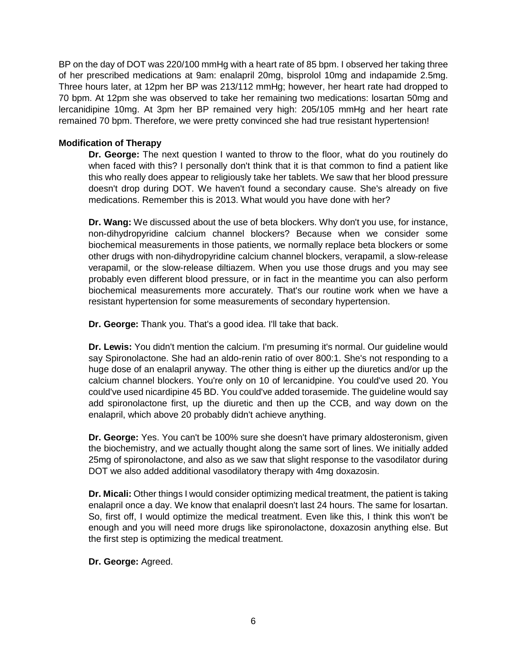BP on the day of DOT was 220/100 mmHg with a heart rate of 85 bpm. I observed her taking three of her prescribed medications at 9am: enalapril 20mg, bisprolol 10mg and indapamide 2.5mg. Three hours later, at 12pm her BP was 213/112 mmHg; however, her heart rate had dropped to 70 bpm. At 12pm she was observed to take her remaining two medications: losartan 50mg and lercanidipine 10mg. At 3pm her BP remained very high: 205/105 mmHg and her heart rate remained 70 bpm. Therefore, we were pretty convinced she had true resistant hypertension!

## **Modification of Therapy**

**Dr. George:** The next question I wanted to throw to the floor, what do you routinely do when faced with this? I personally don't think that it is that common to find a patient like this who really does appear to religiously take her tablets. We saw that her blood pressure doesn't drop during DOT. We haven't found a secondary cause. She's already on five medications. Remember this is 2013. What would you have done with her?

**Dr. Wang:** We discussed about the use of beta blockers. Why don't you use, for instance, non-dihydropyridine calcium channel blockers? Because when we consider some biochemical measurements in those patients, we normally replace beta blockers or some other drugs with non-dihydropyridine calcium channel blockers, verapamil, a slow-release verapamil, or the slow-release diltiazem. When you use those drugs and you may see probably even different blood pressure, or in fact in the meantime you can also perform biochemical measurements more accurately. That's our routine work when we have a resistant hypertension for some measurements of secondary hypertension.

**Dr. George:** Thank you. That's a good idea. I'll take that back.

**Dr. Lewis:** You didn't mention the calcium. I'm presuming it's normal. Our guideline would say Spironolactone. She had an aldo-renin ratio of over 800:1. She's not responding to a huge dose of an enalapril anyway. The other thing is either up the diuretics and/or up the calcium channel blockers. You're only on 10 of lercanidpine. You could've used 20. You could've used nicardipine 45 BD. You could've added torasemide. The guideline would say add spironolactone first, up the diuretic and then up the CCB, and way down on the enalapril, which above 20 probably didn't achieve anything.

**Dr. George:** Yes. You can't be 100% sure she doesn't have primary aldosteronism, given the biochemistry, and we actually thought along the same sort of lines. We initially added 25mg of spironolactone, and also as we saw that slight response to the vasodilator during DOT we also added additional vasodilatory therapy with 4mg doxazosin.

**Dr. Micali:** Other things I would consider optimizing medical treatment, the patient is taking enalapril once a day. We know that enalapril doesn't last 24 hours. The same for losartan. So, first off, I would optimize the medical treatment. Even like this, I think this won't be enough and you will need more drugs like spironolactone, doxazosin anything else. But the first step is optimizing the medical treatment.

**Dr. George:** Agreed.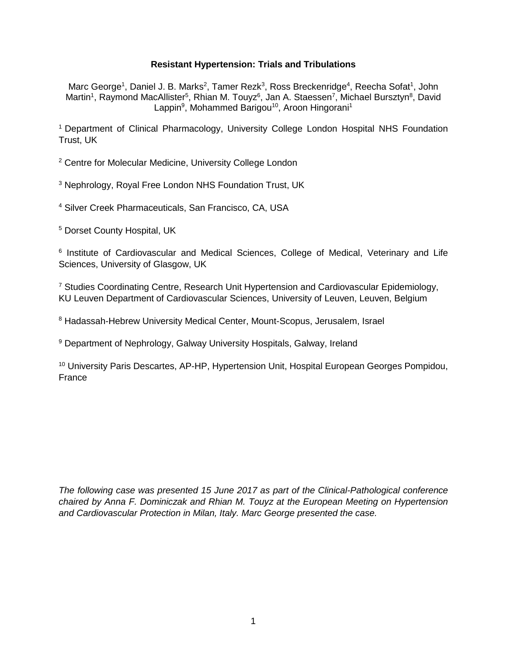# **Resistant Hypertension: Trials and Tribulations**

Marc George<sup>1</sup>, Daniel J. B. Marks<sup>2</sup>, Tamer Rezk<sup>3</sup>, Ross Breckenridge<sup>4</sup>, Reecha Sofat<sup>1</sup>, John Martin<sup>1</sup>, Raymond MacAllister<sup>5</sup>, Rhian M. Touyz<sup>6</sup>, Jan A. Staessen<sup>7</sup>, Michael Bursztyn<sup>8</sup>, David Lappin<sup>9</sup>, Mohammed Barigou<sup>10</sup>, Aroon Hingorani<sup>1</sup>

<sup>1</sup> Department of Clinical Pharmacology, University College London Hospital NHS Foundation Trust, UK

<sup>2</sup> Centre for Molecular Medicine, University College London

<sup>3</sup> Nephrology, Royal Free London NHS Foundation Trust, UK

<sup>4</sup> Silver Creek Pharmaceuticals, San Francisco, CA, USA

<sup>5</sup> Dorset County Hospital, UK

<sup>6</sup> Institute of Cardiovascular and Medical Sciences, College of Medical, Veterinary and Life Sciences, University of Glasgow, UK

<sup>7</sup> Studies Coordinating Centre, Research Unit Hypertension and Cardiovascular Epidemiology, KU Leuven Department of Cardiovascular Sciences, University of Leuven, Leuven, Belgium

<sup>8</sup> Hadassah-Hebrew University Medical Center, Mount-Scopus, Jerusalem, Israel

<sup>9</sup> Department of Nephrology, Galway University Hospitals, Galway, Ireland

<sup>10</sup> University Paris Descartes, AP-HP, Hypertension Unit, Hospital European Georges Pompidou, France

*The following case was presented 15 June 2017 as part of the Clinical-Pathological conference chaired by Anna F. Dominiczak and Rhian M. Touyz at the European Meeting on Hypertension and Cardiovascular Protection in Milan, Italy. Marc George presented the case.*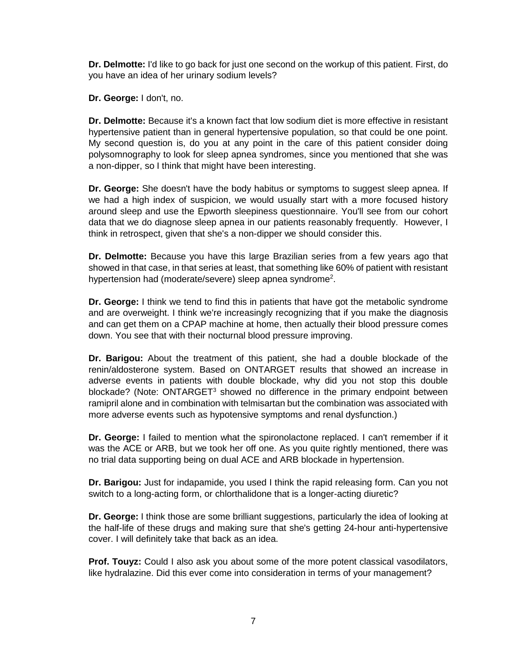**Dr. Delmotte:** I'd like to go back for just one second on the workup of this patient. First, do you have an idea of her urinary sodium levels?

**Dr. George:** I don't, no.

**Dr. Delmotte:** Because it's a known fact that low sodium diet is more effective in resistant hypertensive patient than in general hypertensive population, so that could be one point. My second question is, do you at any point in the care of this patient consider doing polysomnography to look for sleep apnea syndromes, since you mentioned that she was a non-dipper, so I think that might have been interesting.

**Dr. George:** She doesn't have the body habitus or symptoms to suggest sleep apnea. If we had a high index of suspicion, we would usually start with a more focused history around sleep and use the Epworth sleepiness questionnaire. You'll see from our cohort data that we do diagnose sleep apnea in our patients reasonably frequently. However, I think in retrospect, given that she's a non-dipper we should consider this.

**Dr. Delmotte:** Because you have this large Brazilian series from a few years ago that showed in that case, in that series at least, that something like 60% of patient with resistant hypertension had (moderate/severe) sleep apnea syndrome<sup>2</sup>.

**Dr. George:** I think we tend to find this in patients that have got the metabolic syndrome and are overweight. I think we're increasingly recognizing that if you make the diagnosis and can get them on a CPAP machine at home, then actually their blood pressure comes down. You see that with their nocturnal blood pressure improving.

**Dr. Barigou:** About the treatment of this patient, she had a double blockade of the renin/aldosterone system. Based on ONTARGET results that showed an increase in adverse events in patients with double blockade, why did you not stop this double blockade? (Note: ONTARGET<sup>3</sup> showed no difference in the primary endpoint between ramipril alone and in combination with telmisartan but the combination was associated with more adverse events such as hypotensive symptoms and renal dysfunction.)

**Dr. George:** I failed to mention what the spironolactone replaced. I can't remember if it was the ACE or ARB, but we took her off one. As you quite rightly mentioned, there was no trial data supporting being on dual ACE and ARB blockade in hypertension.

**Dr. Barigou:** Just for indapamide, you used I think the rapid releasing form. Can you not switch to a long-acting form, or chlorthalidone that is a longer-acting diuretic?

**Dr. George:** I think those are some brilliant suggestions, particularly the idea of looking at the half-life of these drugs and making sure that she's getting 24-hour anti-hypertensive cover. I will definitely take that back as an idea.

**Prof. Touyz:** Could I also ask you about some of the more potent classical vasodilators, like hydralazine. Did this ever come into consideration in terms of your management?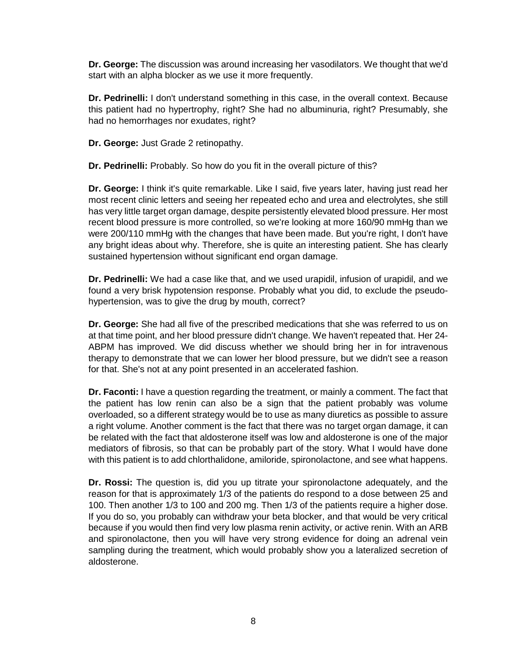**Dr. George:** The discussion was around increasing her vasodilators. We thought that we'd start with an alpha blocker as we use it more frequently.

**Dr. Pedrinelli:** I don't understand something in this case, in the overall context. Because this patient had no hypertrophy, right? She had no albuminuria, right? Presumably, she had no hemorrhages nor exudates, right?

**Dr. George:** Just Grade 2 retinopathy.

**Dr. Pedrinelli:** Probably. So how do you fit in the overall picture of this?

**Dr. George:** I think it's quite remarkable. Like I said, five years later, having just read her most recent clinic letters and seeing her repeated echo and urea and electrolytes, she still has very little target organ damage, despite persistently elevated blood pressure. Her most recent blood pressure is more controlled, so we're looking at more 160/90 mmHg than we were 200/110 mmHg with the changes that have been made. But you're right, I don't have any bright ideas about why. Therefore, she is quite an interesting patient. She has clearly sustained hypertension without significant end organ damage.

**Dr. Pedrinelli:** We had a case like that, and we used urapidil, infusion of urapidil, and we found a very brisk hypotension response. Probably what you did, to exclude the pseudohypertension, was to give the drug by mouth, correct?

**Dr. George:** She had all five of the prescribed medications that she was referred to us on at that time point, and her blood pressure didn't change. We haven't repeated that. Her 24- ABPM has improved. We did discuss whether we should bring her in for intravenous therapy to demonstrate that we can lower her blood pressure, but we didn't see a reason for that. She's not at any point presented in an accelerated fashion.

**Dr. Faconti:** I have a question regarding the treatment, or mainly a comment. The fact that the patient has low renin can also be a sign that the patient probably was volume overloaded, so a different strategy would be to use as many diuretics as possible to assure a right volume. Another comment is the fact that there was no target organ damage, it can be related with the fact that aldosterone itself was low and aldosterone is one of the major mediators of fibrosis, so that can be probably part of the story. What I would have done with this patient is to add chlorthalidone, amiloride, spironolactone, and see what happens.

**Dr. Rossi:** The question is, did you up titrate your spironolactone adequately, and the reason for that is approximately 1/3 of the patients do respond to a dose between 25 and 100. Then another 1/3 to 100 and 200 mg. Then 1/3 of the patients require a higher dose. If you do so, you probably can withdraw your beta blocker, and that would be very critical because if you would then find very low plasma renin activity, or active renin. With an ARB and spironolactone, then you will have very strong evidence for doing an adrenal vein sampling during the treatment, which would probably show you a lateralized secretion of aldosterone.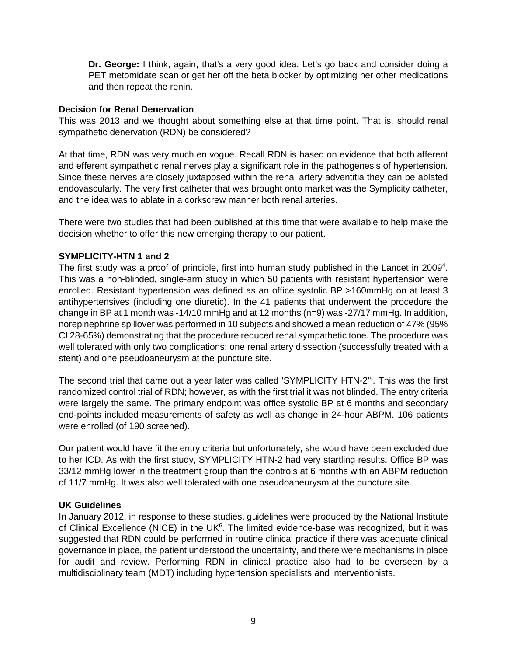**Dr. George:** I think, again, that's a very good idea. Let's go back and consider doing a PET metomidate scan or get her off the beta blocker by optimizing her other medications and then repeat the renin.

## **Decision for Renal Denervation**

This was 2013 and we thought about something else at that time point. That is, should renal sympathetic denervation (RDN) be considered?

At that time, RDN was very much en vogue. Recall RDN is based on evidence that both afferent and efferent sympathetic renal nerves play a significant role in the pathogenesis of hypertension. Since these nerves are closely juxtaposed within the renal artery adventitia they can be ablated endovascularly. The very first catheter that was brought onto market was the Symplicity catheter, and the idea was to ablate in a corkscrew manner both renal arteries.

There were two studies that had been published at this time that were available to help make the decision whether to offer this new emerging therapy to our patient.

## **SYMPLICITY-HTN 1 and 2**

The first study was a proof of principle, first into human study published in the Lancet in 2009<sup>4</sup>. This was a non-blinded, single-arm study in which 50 patients with resistant hypertension were enrolled. Resistant hypertension was defined as an office systolic BP >160mmHg on at least 3 antihypertensives (including one diuretic). In the 41 patients that underwent the procedure the change in BP at 1 month was -14/10 mmHg and at 12 months (n=9) was -27/17 mmHg. In addition, norepinephrine spillover was performed in 10 subjects and showed a mean reduction of 47% (95% CI 28-65%) demonstrating that the procedure reduced renal sympathetic tone. The procedure was well tolerated with only two complications: one renal artery dissection (successfully treated with a stent) and one pseudoaneurysm at the puncture site.

The second trial that came out a year later was called 'SYMPLICITY HTN-2'5 . This was the first randomized control trial of RDN; however, as with the first trial it was not blinded. The entry criteria were largely the same. The primary endpoint was office systolic BP at 6 months and secondary end-points included measurements of safety as well as change in 24-hour ABPM. 106 patients were enrolled (of 190 screened).

Our patient would have fit the entry criteria but unfortunately, she would have been excluded due to her ICD. As with the first study, SYMPLICITY HTN-2 had very startling results. Office BP was 33/12 mmHg lower in the treatment group than the controls at 6 months with an ABPM reduction of 11/7 mmHg. It was also well tolerated with one pseudoaneurysm at the puncture site.

## **UK Guidelines**

In January 2012, in response to these studies, guidelines were produced by the National Institute of Clinical Excellence (NICE) in the UK $6$ . The limited evidence-base was recognized, but it was suggested that RDN could be performed in routine clinical practice if there was adequate clinical governance in place, the patient understood the uncertainty, and there were mechanisms in place for audit and review. Performing RDN in clinical practice also had to be overseen by a multidisciplinary team (MDT) including hypertension specialists and interventionists.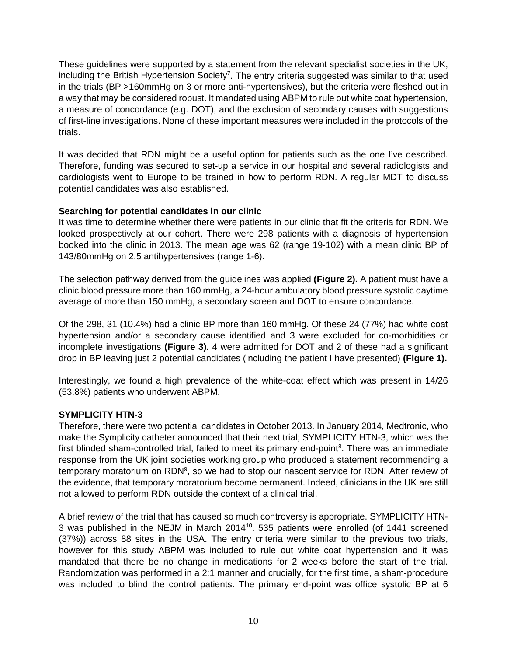These guidelines were supported by a statement from the relevant specialist societies in the UK, including the British Hypertension Society<sup>7</sup>. The entry criteria suggested was similar to that used in the trials (BP >160mmHg on 3 or more anti-hypertensives), but the criteria were fleshed out in a way that may be considered robust. It mandated using ABPM to rule out white coat hypertension, a measure of concordance (e.g. DOT), and the exclusion of secondary causes with suggestions of first-line investigations. None of these important measures were included in the protocols of the trials.

It was decided that RDN might be a useful option for patients such as the one I've described. Therefore, funding was secured to set-up a service in our hospital and several radiologists and cardiologists went to Europe to be trained in how to perform RDN. A regular MDT to discuss potential candidates was also established.

# **Searching for potential candidates in our clinic**

It was time to determine whether there were patients in our clinic that fit the criteria for RDN. We looked prospectively at our cohort. There were 298 patients with a diagnosis of hypertension booked into the clinic in 2013. The mean age was 62 (range 19-102) with a mean clinic BP of 143/80mmHg on 2.5 antihypertensives (range 1-6).

The selection pathway derived from the guidelines was applied **(Figure 2).** A patient must have a clinic blood pressure more than 160 mmHg, a 24-hour ambulatory blood pressure systolic daytime average of more than 150 mmHg, a secondary screen and DOT to ensure concordance.

Of the 298, 31 (10.4%) had a clinic BP more than 160 mmHg. Of these 24 (77%) had white coat hypertension and/or a secondary cause identified and 3 were excluded for co-morbidities or incomplete investigations **(Figure 3).** 4 were admitted for DOT and 2 of these had a significant drop in BP leaving just 2 potential candidates (including the patient I have presented) **(Figure 1).** 

Interestingly, we found a high prevalence of the white-coat effect which was present in 14/26 (53.8%) patients who underwent ABPM.

# **SYMPLICITY HTN-3**

Therefore, there were two potential candidates in October 2013. In January 2014, Medtronic, who make the Symplicity catheter announced that their next trial; SYMPLICITY HTN-3, which was the first blinded sham-controlled trial, failed to meet its primary end-point<sup>8</sup>. There was an immediate response from the UK joint societies working group who produced a statement recommending a temporary moratorium on RDN<sup>9</sup>, so we had to stop our nascent service for RDN! After review of the evidence, that temporary moratorium become permanent. Indeed, clinicians in the UK are still not allowed to perform RDN outside the context of a clinical trial.

A brief review of the trial that has caused so much controversy is appropriate. SYMPLICITY HTN-3 was published in the NEJM in March 201410. 535 patients were enrolled (of 1441 screened (37%)) across 88 sites in the USA. The entry criteria were similar to the previous two trials, however for this study ABPM was included to rule out white coat hypertension and it was mandated that there be no change in medications for 2 weeks before the start of the trial. Randomization was performed in a 2:1 manner and crucially, for the first time, a sham-procedure was included to blind the control patients. The primary end-point was office systolic BP at 6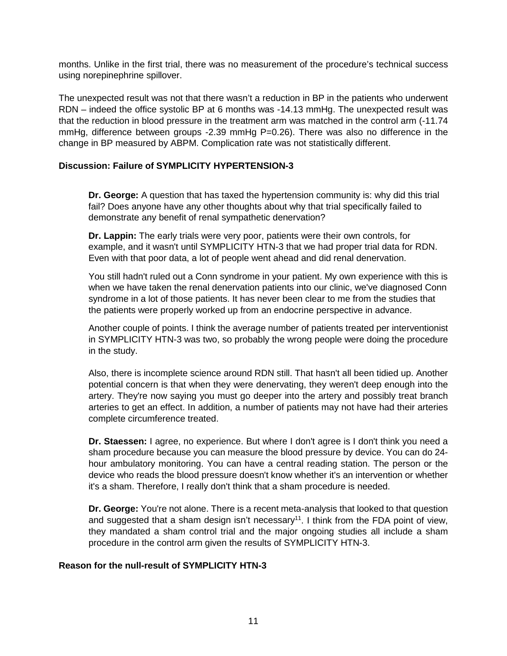months. Unlike in the first trial, there was no measurement of the procedure's technical success using norepinephrine spillover.

The unexpected result was not that there wasn't a reduction in BP in the patients who underwent RDN – indeed the office systolic BP at 6 months was -14.13 mmHg. The unexpected result was that the reduction in blood pressure in the treatment arm was matched in the control arm (-11.74 mmHg, difference between groups -2.39 mmHg P=0.26). There was also no difference in the change in BP measured by ABPM. Complication rate was not statistically different.

## **Discussion: Failure of SYMPLICITY HYPERTENSION-3**

**Dr. George:** A question that has taxed the hypertension community is: why did this trial fail? Does anyone have any other thoughts about why that trial specifically failed to demonstrate any benefit of renal sympathetic denervation?

**Dr. Lappin:** The early trials were very poor, patients were their own controls, for example, and it wasn't until SYMPLICITY HTN-3 that we had proper trial data for RDN. Even with that poor data, a lot of people went ahead and did renal denervation.

You still hadn't ruled out a Conn syndrome in your patient. My own experience with this is when we have taken the renal denervation patients into our clinic, we've diagnosed Conn syndrome in a lot of those patients. It has never been clear to me from the studies that the patients were properly worked up from an endocrine perspective in advance.

Another couple of points. I think the average number of patients treated per interventionist in SYMPLICITY HTN-3 was two, so probably the wrong people were doing the procedure in the study.

Also, there is incomplete science around RDN still. That hasn't all been tidied up. Another potential concern is that when they were denervating, they weren't deep enough into the artery. They're now saying you must go deeper into the artery and possibly treat branch arteries to get an effect. In addition, a number of patients may not have had their arteries complete circumference treated.

**Dr. Staessen:** I agree, no experience. But where I don't agree is I don't think you need a sham procedure because you can measure the blood pressure by device. You can do 24 hour ambulatory monitoring. You can have a central reading station. The person or the device who reads the blood pressure doesn't know whether it's an intervention or whether it's a sham. Therefore, I really don't think that a sham procedure is needed.

**Dr. George:** You're not alone. There is a recent meta-analysis that looked to that question and suggested that a sham design isn't necessary<sup>11</sup>. I think from the FDA point of view, they mandated a sham control trial and the major ongoing studies all include a sham procedure in the control arm given the results of SYMPLICITY HTN-3.

## **Reason for the null-result of SYMPLICITY HTN-3**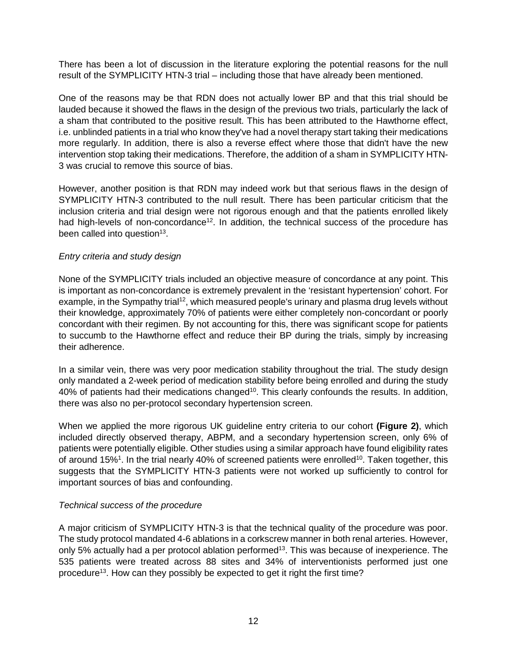There has been a lot of discussion in the literature exploring the potential reasons for the null result of the SYMPLICITY HTN-3 trial – including those that have already been mentioned.

One of the reasons may be that RDN does not actually lower BP and that this trial should be lauded because it showed the flaws in the design of the previous two trials, particularly the lack of a sham that contributed to the positive result. This has been attributed to the Hawthorne effect, i.e. unblinded patients in a trial who know they've had a novel therapy start taking their medications more regularly. In addition, there is also a reverse effect where those that didn't have the new intervention stop taking their medications. Therefore, the addition of a sham in SYMPLICITY HTN-3 was crucial to remove this source of bias.

However, another position is that RDN may indeed work but that serious flaws in the design of SYMPLICITY HTN-3 contributed to the null result. There has been particular criticism that the inclusion criteria and trial design were not rigorous enough and that the patients enrolled likely had high-levels of non-concordance<sup>12</sup>. In addition, the technical success of the procedure has been called into question $13$ .

## *Entry criteria and study design*

None of the SYMPLICITY trials included an objective measure of concordance at any point. This is important as non-concordance is extremely prevalent in the 'resistant hypertension' cohort. For example, in the Sympathy trial<sup>12</sup>, which measured people's urinary and plasma drug levels without their knowledge, approximately 70% of patients were either completely non-concordant or poorly concordant with their regimen. By not accounting for this, there was significant scope for patients to succumb to the Hawthorne effect and reduce their BP during the trials, simply by increasing their adherence.

In a similar vein, there was very poor medication stability throughout the trial. The study design only mandated a 2-week period of medication stability before being enrolled and during the study 40% of patients had their medications changed<sup>10</sup>. This clearly confounds the results. In addition, there was also no per-protocol secondary hypertension screen.

When we applied the more rigorous UK guideline entry criteria to our cohort **(Figure 2)**, which included directly observed therapy, ABPM, and a secondary hypertension screen, only 6% of patients were potentially eligible. Other studies using a similar approach have found eligibility rates of around 15%<sup>1</sup>. In the trial nearly 40% of screened patients were enrolled<sup>10</sup>. Taken together, this suggests that the SYMPLICITY HTN-3 patients were not worked up sufficiently to control for important sources of bias and confounding.

## *Technical success of the procedure*

A major criticism of SYMPLICITY HTN-3 is that the technical quality of the procedure was poor. The study protocol mandated 4-6 ablations in a corkscrew manner in both renal arteries. However, only 5% actually had a per protocol ablation performed<sup>13</sup>. This was because of inexperience. The 535 patients were treated across 88 sites and 34% of interventionists performed just one procedure<sup>13</sup>. How can they possibly be expected to get it right the first time?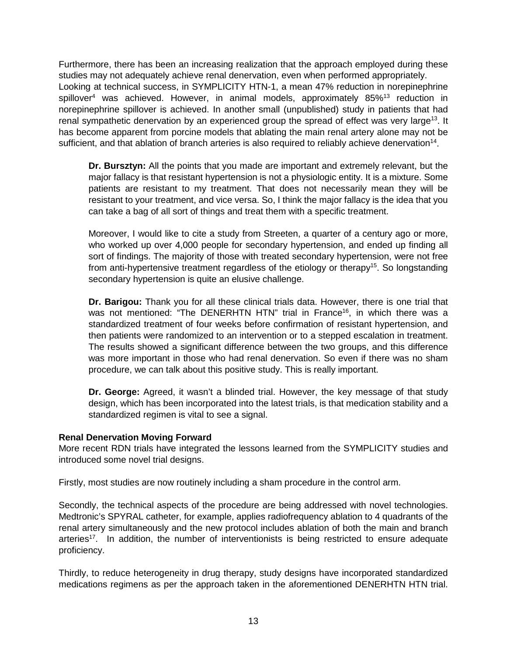Furthermore, there has been an increasing realization that the approach employed during these studies may not adequately achieve renal denervation, even when performed appropriately. Looking at technical success, in SYMPLICITY HTN-1, a mean 47% reduction in norepinephrine spillover<sup>4</sup> was achieved. However, in animal models, approximately  $85\%$ <sup>13</sup> reduction in norepinephrine spillover is achieved. In another small (unpublished) study in patients that had renal sympathetic denervation by an experienced group the spread of effect was very large<sup>13</sup>. It has become apparent from porcine models that ablating the main renal artery alone may not be sufficient, and that ablation of branch arteries is also required to reliably achieve denervation<sup>14</sup>.

**Dr. Bursztyn:** All the points that you made are important and extremely relevant, but the major fallacy is that resistant hypertension is not a physiologic entity. It is a mixture. Some patients are resistant to my treatment. That does not necessarily mean they will be resistant to your treatment, and vice versa. So, I think the major fallacy is the idea that you can take a bag of all sort of things and treat them with a specific treatment.

Moreover, I would like to cite a study from Streeten, a quarter of a century ago or more, who worked up over 4,000 people for secondary hypertension, and ended up finding all sort of findings. The majority of those with treated secondary hypertension, were not free from anti-hypertensive treatment regardless of the etiology or therapy<sup>15</sup>. So longstanding secondary hypertension is quite an elusive challenge.

**Dr. Barigou:** Thank you for all these clinical trials data. However, there is one trial that was not mentioned: "The DENERHTN HTN" trial in France<sup>16</sup>, in which there was a standardized treatment of four weeks before confirmation of resistant hypertension, and then patients were randomized to an intervention or to a stepped escalation in treatment. The results showed a significant difference between the two groups, and this difference was more important in those who had renal denervation. So even if there was no sham procedure, we can talk about this positive study. This is really important.

**Dr. George:** Agreed, it wasn't a blinded trial. However, the key message of that study design, which has been incorporated into the latest trials, is that medication stability and a standardized regimen is vital to see a signal.

## **Renal Denervation Moving Forward**

More recent RDN trials have integrated the lessons learned from the SYMPLICITY studies and introduced some novel trial designs.

Firstly, most studies are now routinely including a sham procedure in the control arm.

Secondly, the technical aspects of the procedure are being addressed with novel technologies. Medtronic's SPYRAL catheter, for example, applies radiofrequency ablation to 4 quadrants of the renal artery simultaneously and the new protocol includes ablation of both the main and branch arteries<sup>17</sup>. In addition, the number of interventionists is being restricted to ensure adequate proficiency.

Thirdly, to reduce heterogeneity in drug therapy, study designs have incorporated standardized medications regimens as per the approach taken in the aforementioned DENERHTN HTN trial.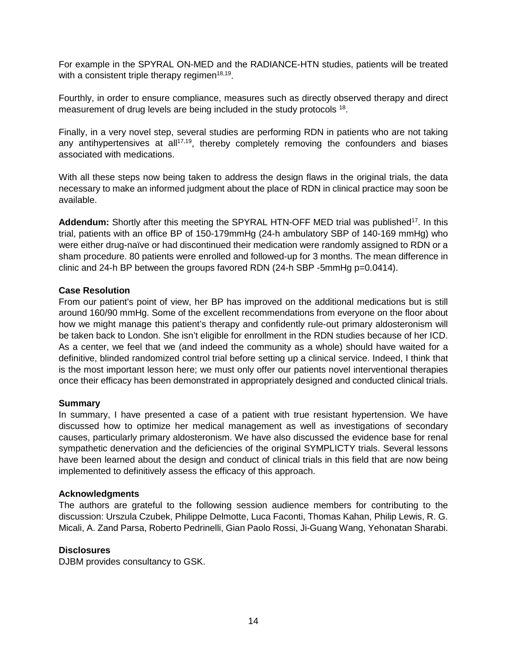For example in the SPYRAL ON-MED and the RADIANCE-HTN studies, patients will be treated with a consistent triple therapy regimen<sup>18,19</sup>.

Fourthly, in order to ensure compliance, measures such as directly observed therapy and direct measurement of drug levels are being included in the study protocols <sup>18</sup>.

Finally, in a very novel step, several studies are performing RDN in patients who are not taking any antihypertensives at all<sup>17,19</sup>, thereby completely removing the confounders and biases associated with medications.

With all these steps now being taken to address the design flaws in the original trials, the data necessary to make an informed judgment about the place of RDN in clinical practice may soon be available.

Addendum: Shortly after this meeting the SPYRAL HTN-OFF MED trial was published<sup>17</sup>. In this trial, patients with an office BP of 150-179mmHg (24-h ambulatory SBP of 140-169 mmHg) who were either drug-naïve or had discontinued their medication were randomly assigned to RDN or a sham procedure. 80 patients were enrolled and followed-up for 3 months. The mean difference in clinic and 24-h BP between the groups favored RDN (24-h SBP -5mmHg p=0.0414).

## **Case Resolution**

From our patient's point of view, her BP has improved on the additional medications but is still around 160/90 mmHg. Some of the excellent recommendations from everyone on the floor about how we might manage this patient's therapy and confidently rule-out primary aldosteronism will be taken back to London. She isn't eligible for enrollment in the RDN studies because of her ICD. As a center, we feel that we (and indeed the community as a whole) should have waited for a definitive, blinded randomized control trial before setting up a clinical service. Indeed, I think that is the most important lesson here; we must only offer our patients novel interventional therapies once their efficacy has been demonstrated in appropriately designed and conducted clinical trials.

# **Summary**

In summary, I have presented a case of a patient with true resistant hypertension. We have discussed how to optimize her medical management as well as investigations of secondary causes, particularly primary aldosteronism. We have also discussed the evidence base for renal sympathetic denervation and the deficiencies of the original SYMPLICTY trials. Several lessons have been learned about the design and conduct of clinical trials in this field that are now being implemented to definitively assess the efficacy of this approach.

## **Acknowledgments**

The authors are grateful to the following session audience members for contributing to the discussion: Urszula Czubek, Philippe Delmotte, Luca Faconti, Thomas Kahan, Philip Lewis, R. G. Micali, A. Zand Parsa, Roberto Pedrinelli, Gian Paolo Rossi, Ji-Guang Wang, Yehonatan Sharabi.

## **Disclosures**

DJBM provides consultancy to GSK.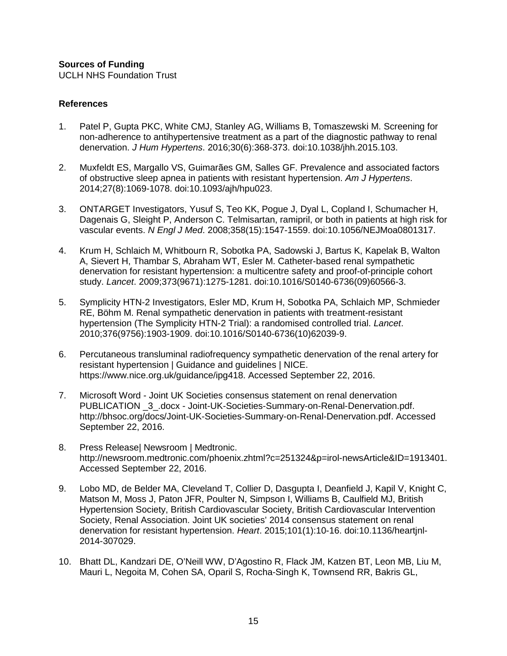## **Sources of Funding**

UCLH NHS Foundation Trust

#### **References**

- 1. Patel P, Gupta PKC, White CMJ, Stanley AG, Williams B, Tomaszewski M. Screening for non-adherence to antihypertensive treatment as a part of the diagnostic pathway to renal denervation. *J Hum Hypertens*. 2016;30(6):368-373. doi:10.1038/jhh.2015.103.
- 2. Muxfeldt ES, Margallo VS, Guimarães GM, Salles GF. Prevalence and associated factors of obstructive sleep apnea in patients with resistant hypertension. *Am J Hypertens*. 2014;27(8):1069-1078. doi:10.1093/ajh/hpu023.
- 3. ONTARGET Investigators, Yusuf S, Teo KK, Pogue J, Dyal L, Copland I, Schumacher H, Dagenais G, Sleight P, Anderson C. Telmisartan, ramipril, or both in patients at high risk for vascular events. *N Engl J Med*. 2008;358(15):1547-1559. doi:10.1056/NEJMoa0801317.
- 4. Krum H, Schlaich M, Whitbourn R, Sobotka PA, Sadowski J, Bartus K, Kapelak B, Walton A, Sievert H, Thambar S, Abraham WT, Esler M. Catheter-based renal sympathetic denervation for resistant hypertension: a multicentre safety and proof-of-principle cohort study. *Lancet*. 2009;373(9671):1275-1281. doi:10.1016/S0140-6736(09)60566-3.
- 5. Symplicity HTN-2 Investigators, Esler MD, Krum H, Sobotka PA, Schlaich MP, Schmieder RE, Böhm M. Renal sympathetic denervation in patients with treatment-resistant hypertension (The Symplicity HTN-2 Trial): a randomised controlled trial. *Lancet*. 2010;376(9756):1903-1909. doi:10.1016/S0140-6736(10)62039-9.
- 6. Percutaneous transluminal radiofrequency sympathetic denervation of the renal artery for resistant hypertension | Guidance and guidelines | NICE. https://www.nice.org.uk/guidance/ipg418. Accessed September 22, 2016.
- 7. Microsoft Word Joint UK Societies consensus statement on renal denervation PUBLICATION \_3\_.docx - Joint-UK-Societies-Summary-on-Renal-Denervation.pdf. http://bhsoc.org/docs/Joint-UK-Societies-Summary-on-Renal-Denervation.pdf. Accessed September 22, 2016.
- 8. Press Release| Newsroom | Medtronic. http://newsroom.medtronic.com/phoenix.zhtml?c=251324&p=irol-newsArticle&ID=1913401. Accessed September 22, 2016.
- 9. Lobo MD, de Belder MA, Cleveland T, Collier D, Dasgupta I, Deanfield J, Kapil V, Knight C, Matson M, Moss J, Paton JFR, Poulter N, Simpson I, Williams B, Caulfield MJ, British Hypertension Society, British Cardiovascular Society, British Cardiovascular Intervention Society, Renal Association. Joint UK societies' 2014 consensus statement on renal denervation for resistant hypertension. *Heart*. 2015;101(1):10-16. doi:10.1136/heartjnl-2014-307029.
- 10. Bhatt DL, Kandzari DE, O'Neill WW, D'Agostino R, Flack JM, Katzen BT, Leon MB, Liu M, Mauri L, Negoita M, Cohen SA, Oparil S, Rocha-Singh K, Townsend RR, Bakris GL,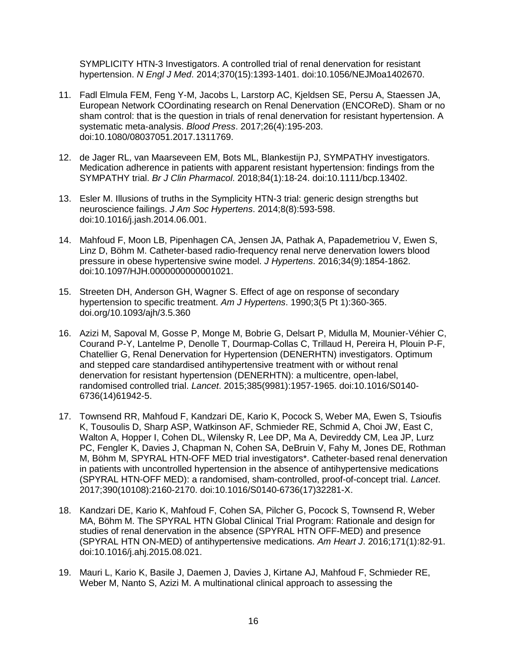SYMPLICITY HTN-3 Investigators. A controlled trial of renal denervation for resistant hypertension. *N Engl J Med*. 2014;370(15):1393-1401. doi:10.1056/NEJMoa1402670.

- 11. Fadl Elmula FEM, Feng Y-M, Jacobs L, Larstorp AC, Kjeldsen SE, Persu A, Staessen JA, European Network COordinating research on Renal Denervation (ENCOReD). Sham or no sham control: that is the question in trials of renal denervation for resistant hypertension. A systematic meta-analysis. *Blood Press*. 2017;26(4):195-203. doi:10.1080/08037051.2017.1311769.
- 12. de Jager RL, van Maarseveen EM, Bots ML, Blankestijn PJ, SYMPATHY investigators. Medication adherence in patients with apparent resistant hypertension: findings from the SYMPATHY trial. *Br J Clin Pharmacol*. 2018;84(1):18-24. doi:10.1111/bcp.13402.
- 13. Esler M. Illusions of truths in the Symplicity HTN-3 trial: generic design strengths but neuroscience failings. *J Am Soc Hypertens*. 2014;8(8):593-598. doi:10.1016/j.jash.2014.06.001.
- 14. Mahfoud F, Moon LB, Pipenhagen CA, Jensen JA, Pathak A, Papademetriou V, Ewen S, Linz D, Böhm M. Catheter-based radio-frequency renal nerve denervation lowers blood pressure in obese hypertensive swine model. *J Hypertens*. 2016;34(9):1854-1862. doi:10.1097/HJH.0000000000001021.
- 15. Streeten DH, Anderson GH, Wagner S. Effect of age on response of secondary hypertension to specific treatment. *Am J Hypertens*. 1990;3(5 Pt 1):360-365. [doi.org/10.1093/ajh/3.5.360](https://doi.org/10.1093/ajh/3.5.360)
- 16. Azizi M, Sapoval M, Gosse P, Monge M, Bobrie G, Delsart P, Midulla M, Mounier-Véhier C, Courand P-Y, Lantelme P, Denolle T, Dourmap-Collas C, Trillaud H, Pereira H, Plouin P-F, Chatellier G, Renal Denervation for Hypertension (DENERHTN) investigators. Optimum and stepped care standardised antihypertensive treatment with or without renal denervation for resistant hypertension (DENERHTN): a multicentre, open-label, randomised controlled trial. *Lancet*. 2015;385(9981):1957-1965. doi:10.1016/S0140- 6736(14)61942-5.
- 17. Townsend RR, Mahfoud F, Kandzari DE, Kario K, Pocock S, Weber MA, Ewen S, Tsioufis K, Tousoulis D, Sharp ASP, Watkinson AF, Schmieder RE, Schmid A, Choi JW, East C, Walton A, Hopper I, Cohen DL, Wilensky R, Lee DP, Ma A, Devireddy CM, Lea JP, Lurz PC, Fengler K, Davies J, Chapman N, Cohen SA, DeBruin V, Fahy M, Jones DE, Rothman M, Böhm M, SPYRAL HTN-OFF MED trial investigators\*. Catheter-based renal denervation in patients with uncontrolled hypertension in the absence of antihypertensive medications (SPYRAL HTN-OFF MED): a randomised, sham-controlled, proof-of-concept trial. *Lancet*. 2017;390(10108):2160-2170. doi:10.1016/S0140-6736(17)32281-X.
- 18. Kandzari DE, Kario K, Mahfoud F, Cohen SA, Pilcher G, Pocock S, Townsend R, Weber MA, Böhm M. The SPYRAL HTN Global Clinical Trial Program: Rationale and design for studies of renal denervation in the absence (SPYRAL HTN OFF-MED) and presence (SPYRAL HTN ON-MED) of antihypertensive medications. *Am Heart J*. 2016;171(1):82-91. doi:10.1016/j.ahj.2015.08.021.
- 19. Mauri L, Kario K, Basile J, Daemen J, Davies J, Kirtane AJ, Mahfoud F, Schmieder RE, Weber M, Nanto S, Azizi M. A multinational clinical approach to assessing the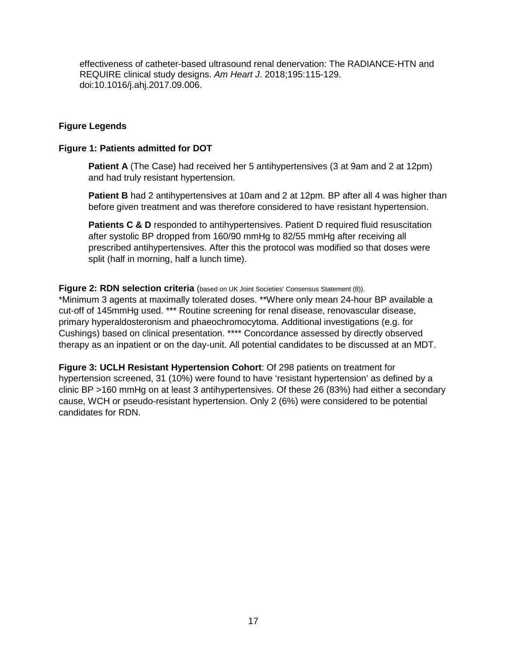effectiveness of catheter-based ultrasound renal denervation: The RADIANCE-HTN and REQUIRE clinical study designs. *Am Heart J*. 2018;195:115-129. doi:10.1016/j.ahj.2017.09.006.

## **Figure Legends**

#### **Figure 1: Patients admitted for DOT**

**Patient A** (The Case) had received her 5 antihypertensives (3 at 9am and 2 at 12pm) and had truly resistant hypertension.

**Patient B** had 2 antihypertensives at 10am and 2 at 12pm. BP after all 4 was higher than before given treatment and was therefore considered to have resistant hypertension.

**Patients C & D** responded to antihypertensives. Patient D required fluid resuscitation after systolic BP dropped from 160/90 mmHg to 82/55 mmHg after receiving all prescribed antihypertensives. After this the protocol was modified so that doses were split (half in morning, half a lunch time).

#### **Figure 2: RDN selection criteria** (based on UK Joint Societies' Consensus Statement (8)).

\*Minimum 3 agents at maximally tolerated doses. \*\*Where only mean 24-hour BP available a cut-off of 145mmHg used. \*\*\* Routine screening for renal disease, renovascular disease, primary hyperaldosteronism and phaeochromocytoma. Additional investigations (e.g. for Cushings) based on clinical presentation. \*\*\*\* Concordance assessed by directly observed therapy as an inpatient or on the day-unit. All potential candidates to be discussed at an MDT.

**Figure 3: UCLH Resistant Hypertension Cohort**: Of 298 patients on treatment for hypertension screened, 31 (10%) were found to have 'resistant hypertension' as defined by a clinic BP >160 mmHg on at least 3 antihypertensives. Of these 26 (83%) had either a secondary cause, WCH or pseudo-resistant hypertension. Only 2 (6%) were considered to be potential candidates for RDN.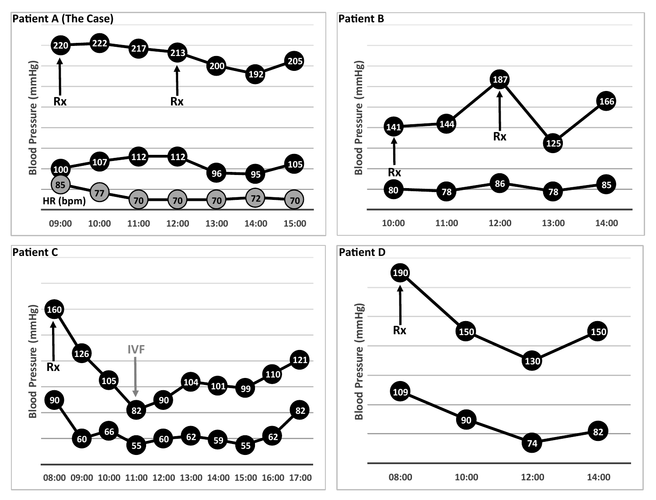



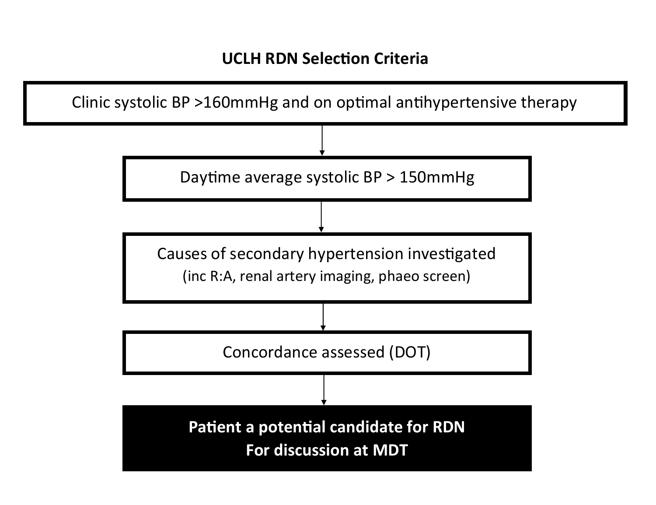